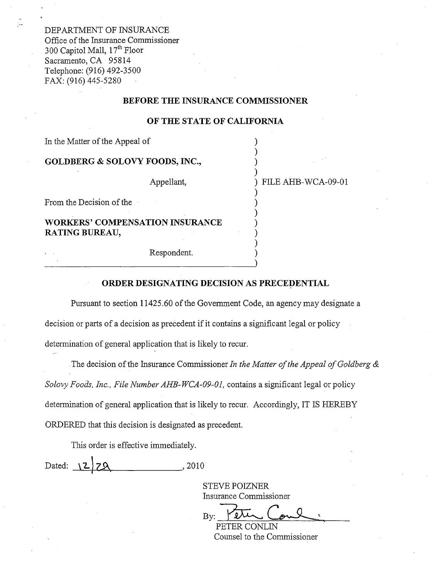DEPARTMENT OF INSURANCE Office of the Insurance Commissioner 300 Capitol Mall,  $17<sup>th</sup>$  Floor Sacramento, CA 95814 Telephone: (916) 492-3500 FAX: (916) 445-5280

### **BEFORE THE INSURANCE COMMISSIONER**

#### **OF THE STATE OF CALIFORNIA**

) ) )

)

) ) ) ) )

In the Matter of the Appeal of

## **GOLDBERG & SOLOVY FOODS, INC.,**

Appellant,

) ) FILE AHB-WCA-09-01

From the Decision of the

**WORKERS' COMPENSATION INSURANCE RATING BUREAU,** 

Respondent. e Respondent.

#### **ORDER DESIGNATING DECISION AS PRECEDENTIAL**

Pursuant to section [11425.60](https://11425.60) of the Government Code, an agency may designate a decision or parts of a decision as precedent if it contains a significant legal or policy determination of general application that is likely to recur.

The decision of the Insurance Commissioner *In the Matter of the Appeal of Goldberg & Solovy Foods, Inc., File Number AHB-WCA-09-01,* contains a significant legal or policy determination of general application that is likely to recur. Accordingly, IT IS HEREBY ORDERED that this decision is designated as precedent.

This order is effective immediately.

 $Dated: \{2 \mid 7\Omega$ , 2010

STEVE POIZNER

Insurance Commissioner<br>By: PETER CONLIN

Counsel to the Commissioner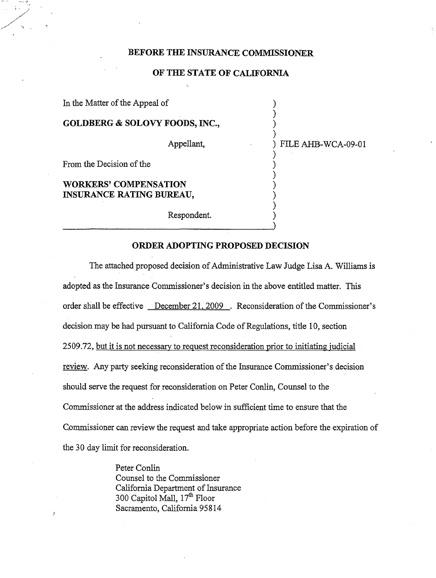## **BEFORE THE INSURANCE COMMISSIONER**

## **OF THE STATE OF CALIFORNIA**

In the Matter of the Appeal of ) **GOLDBERG** & **SOLOVY FOODS, INC.,** ) ) Appellant,  $\qquad \qquad$  ) FILE AHB-WCA-09-01 ) From the Decision of the ) **WORKERS' COMPENSATION** ) **INSURANCE RATING BUREAU,** ) ) Respondent. )

## **ORDER ADOPTING PROPOSED DECISION**

The attached proposed decision of Administrative Law Judge Lisa A. Williams is adopted as the Insurance Commissioner's decision in the above entitled matter. This order shall be effective December 21, 2009 . Reconsideration of the Commissioner's decision may be had pursuant to California Code of Regulations, title 10, section 2509.72, but it is not necessary to request reconsideration prior to initiating judicial review. Any party seeking reconsideration of the Insurance Commissioner's decision should serve the request for reconsideration on Peter Conlin, Counsel to the Commissioner at the address indicated below in sufficient time to ensure that the Commissioner can review the request and take appropriate action before the expiration of the 30 day limit for reconsideration.

> Peter Conlin Counsel to the Commissioner California Department of Insurance 300 Capitol Mall, 17<sup>th</sup> Floor Sacramento, California 95814

٠,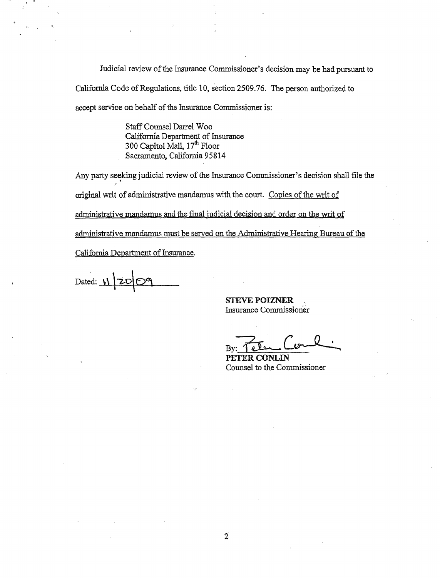Judicial review of the Insurance Commissioner's decision may be had pursuant to California Code of Regulations, title 10, section 2509.76. The person authorized to accept service on behalf of the Insurance Commissioner is:

> Staff Counsel Darrel Woo Califomfa Department of Insurance 300 Capitol Mall, 17<sup>th</sup> Floor Sacramento, California 95814

Any party seeking judicial review of the Insurance Commissioner's decision shall file the • original writ of administrative mandamus with the court. Copies of the writ of administrative mandamus and the final judicial decision and order on the writ of administrative mandamus must be served on the Administrative Hearing Bureau of the California Department of Insurance.

Dated:  $\mathbf{V}$ 

**STEVE POIZNER**  Insurance Commissioner

By: Tele Come

**PETER CONLIN**  Counsel to the Commissioner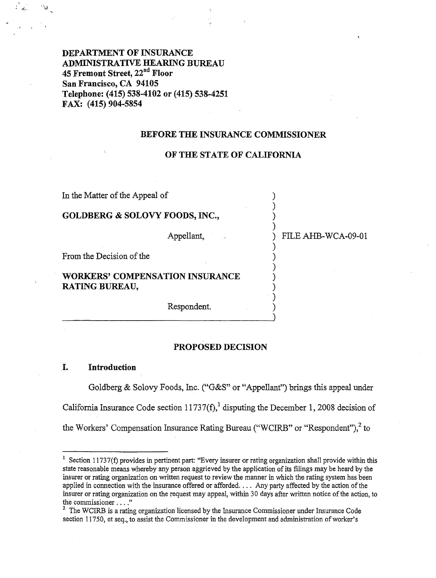**DEPARTMENT OF INSURANCE ADMINISTRATIVE HEARING BUREAU 45 Fremont Street, 22nd Floor San Francisco, CA 94105 Telephone: (415) 538-4102 or (415) 538-4251 FAX: (415) 904-5854** 

#### **BEFORE THE INSURANCE COMMISSIONER**

#### **OF THE STATE OF CALIFORNIA**

)

)

)

)

)

In the Matter of the Appeal of

# **GOLDBERG** & **SOLOVY FOODS, INC.,** )

Appellant,  $\qquad \qquad$  FILE AHB-WCA-09-01

From the Decision of the

# **WORKERS' COMPENSATION INSURANCE** ) **RATING BUREAU,** )

Respondent. )

#### **PROPOSED DECISION**

## I. **Introduction**

Goldberg & Solovy Foods, Inc. ("G&S" or "Appellant") brings this appeal under California Insurance Code section 11737(f),<sup>1</sup> disputing the December 1, 2008 decision of the Workers' Compensation Insurance Rating Bureau ("WCIRB" or "Respondent"),<sup>2</sup> to

<sup>&</sup>lt;sup>1</sup> Section 11737(f) provides in pertinent part: "Every insurer or rating organization shall provide within this state reasonable means whereby any person aggrieved by the application of its filings may be heard by the insurer or rating organization on written request to review the manner in which the rating system has been applied in connection with the insurance offered or afforded. . . . Any party affected by the action of the insurer or rating organization on the request may appeal, within 30 days after written notice ofthe action, to the commissioner ...."

 $2$  The WCIRB is a rating organization licensed by the Insurance Commissioner under Insurance Code section 11750, et seq., to assist the Commissioner in the development and administration of worker's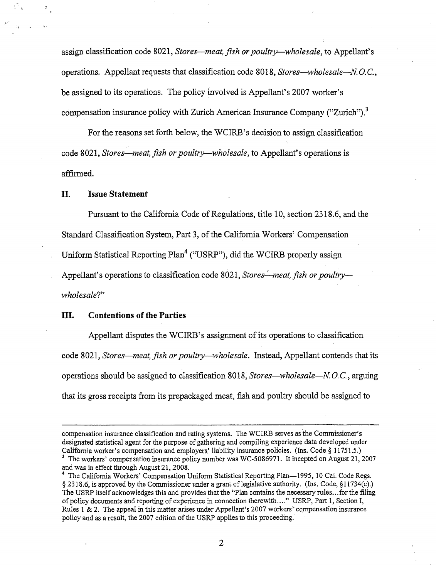assign classification code 8021, *Stores-meat, fish or poultry-wholesale*, to Appellant's operations. Appellant requests that classification code 8018, *Stores-wholesale-N. 0.* C., be assigned to its operations. The policy involved is Appellant's 2007 worker's compensation insurance policy with Zurich American Insurance Company ("Zurich").<sup>3</sup>

For the reasons set forth below, the WCIRB's decision to assign classification code 8021, *Stores—meat, fish or poultry—wholesale*, to Appellant's operations is affirmed.

## **II. Issue Statement**

.<br>" (1

Pursuant to the California Code of Regulations, title 10, section 2318.6, and the Standard Classification System, Part 3, of the California Workers' Compensation Uniform Statistical Reporting Plan<sup>4</sup> ("USRP"), did the WCIRB properly assign Appellant's operations to classification code 8021, *Stores—meat, fish or poultry wholesale?"* 

## **III. Contentions of the Parties**

Appellant disputes the WCIRB's assignment of its operations to classification code 8021, *Stores-meat, fish or poultry-wholesale.* Instead, Appellant contends that its operations should be assigned to classification 8018, *Stores-wholesale-N.* 0. C., arguing that its gross receipts from its prepackaged meat, fish and poultry should be assigned to

compensation insurance classification and rating systems. The WCIRB serves as the Commissioner's designated statistical agent for the purpose of gathering and compiling experience data developed under California worker's compensation and employers' liability insurance policies. (Ins. Code § 11751.5.) <sup>3</sup> The workers' compensation insurance policy number was WC-5086971. It incepted on August 21, 2007 and was in effect through August 21, 2008.

<sup>&</sup>lt;sup>4</sup> The California Workers' Compensation Uniform Statistical Reporting Plan-1995, 10 Cal. Code Regs. § 2318.6, is approved by the Commissioner under a grant of legislative authority. (Ins. Code, §l l 734(c).) The USRP itselfacknowledges this and provides that the "Plan contains the necessary rules ...for the filing of policy documents and reporting of experience in connection therewith ...." USRP, Part 1, Section I, Rules 1 & 2. The appeal in this matter arises under Appellant's 2007 workers' compensation insurance policy and as a result, the 2007 edition of the USRP applies to this proceeding.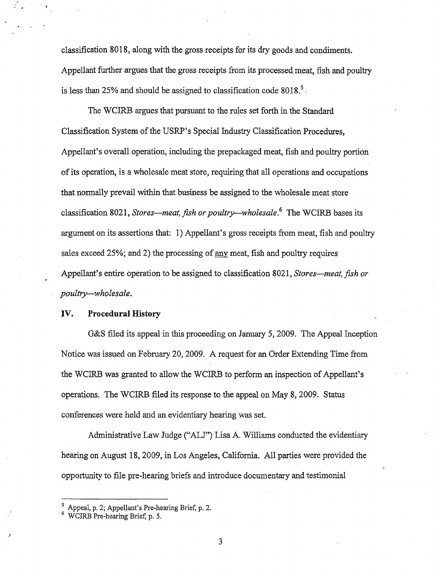classification 8018, along with the gross receipts for its dry goods and condiments. Appellant further argues that the gross receipts from its processed meat, fish and poultry is less than 25% and should be assigned to classification code  $8018<sup>5</sup>$ .

The WCIRB argues that pursuant to the rules set forth in the Standard Classification System of the USRP's Special Industry Classification Procedures, Appellant's overall operation, including the prepackaged meat, fish and poultry portion ofits operation, is a wholesale meat store, requiring that all operations and occupations that normally prevail within that business be assigned to the wholesale meat store classification 8021, *Stores—meat, fish or poultry—wholesale*.<sup>6</sup> The WCIRB bases its argument on its assertions that: 1) Appellant's gross receipts from meat, fish and poultry sales exceed 25%; and 2) the processing of any meat, fish and poultry requires Appellant's entire operation to be assigned to classification 8021, *Stores—meat, fish or poultry-wholesale.* 

# **IV. Procedural History**

G&S filed its appeal in this proceeding on January 5, 2009. The Appeal Inception Notice was issued on February 20, 2009. A request for an Order Extending Time from the WCIRB was granted to allow the WCIRB to perform an inspection of Appellant's operations. The WCIRB filed its response to the appeal on May 8, 2009. Status conferences were held and an evidentiary hearing was set.

Administrative Law Judge ("ALJ") Lisa A. Williams conducted the evidentiary hearing on August 18, 2009, in Los Angeles, California. All parties were provided the opportunity to file pre-hearing briefs and introduce documentary and testimonial

3

*<sup>5</sup>*Appeal, p. 2; Appellant's Pre-hearing Brief, p. 2.

WCIRB Pre-hearing Brief, p. 5.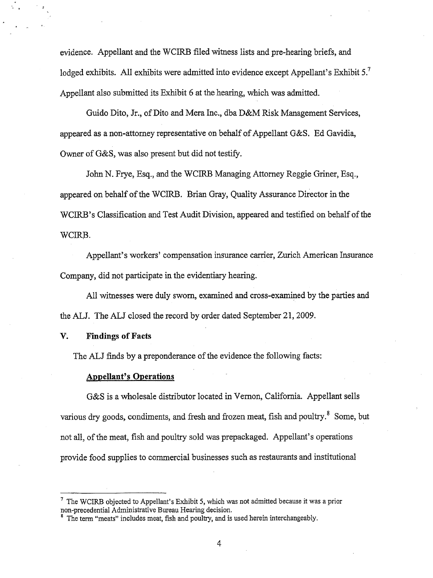evidence. Appellant and the WCIRB filed witness lists and pre-hearing briefs, and lodged exhibits. All exhibits were admitted into evidence except Appellant's Exhibit 5.<sup>7</sup> Appellant also submitted its Exhibit 6 at the hearing, which was admitted.

Guido Dito, Jr., of Dito and Mera Inc., dba D&M Risk Management Services, appeared as a non-attorney representative on behalf of Appellant G&S. Ed Gavidia, Owner of G&S, was also present but did not testify.

John N. Frye, Esq., and the WCIRB Managing Attorney Reggie Griner, Esq., appeared on behalf of the WCIRB. Brian Gray, Quality Assurance Director in the WCIRB's Classification and Test Audit Division, appeared and testified on behalf of the WCIRB.

Appellant's workers' compensation insurance carrier, Zurich American Insurance Company, did not participate in the evidentiary hearing.

All witnesses were duly sworn, examined and cross-examined by the parties and the ALJ. The ALJ closed the record by order dated September 21, 2009.

#### **V~ Findings of Facts**

The ALJ finds by a preponderance of the evidence the following facts:

#### **Appellant's Operations**

G&S is a wholesale distributor located in Vernon, California. Appellant sells various dry goods, condiments, and fresh and frozen meat, fish and poultry.<sup>8</sup> Some, but not all, of the meat, fish and poultry sold was prepackaged. Appellant's operations provide food supplies to commercial businesses such as restaurants and institutional

 $<sup>7</sup>$  The WCIRB objected to Appellant's Exhibit 5, which was not admitted because it was a prior</sup> non-precedential Administrative Bureau Hearing decision.

<sup>&</sup>lt;sup>8</sup> The term "meats" includes meat, fish and poultry, and is used herein interchangeably.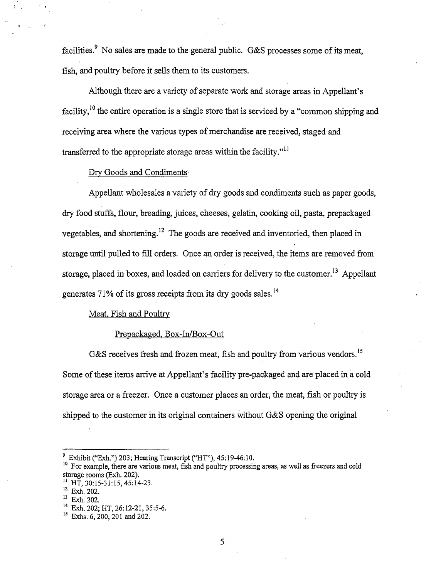facilities.<sup>9</sup> No sales are made to the general public. G&S processes some of its meat, fish, and poultry before it sells them to its customers.

Although there are a variety of separate work and storage areas in Appellant's facility,  $^{10}$  the entire operation is a single store that is serviced by a "common shipping and receiving area where the various types of merchandise are received, staged and transferred to the appropriate storage areas within the facility." $\frac{11}{11}$ 

### Dry Goods and Condiments

Appellant wholesales a variety of dry goods and condiments such as paper goods, dry food stuffs, flour, breading, juices, cheeses, gelatin, cooking oil, pasta, prepackaged vegetables, and [shortening.](https://shortening.12) 12 The goods are received and inventoried, then placed in storage until pulled to fill orders. Once an order is received, the items are removed from storage, placed in boxes, and loaded on carriers for delivery to the [customer.](https://customer.13)<sup>13</sup> Appellant generates 71% of its gross receipts from its dry goods sales.<sup>14</sup>

## Meat, Fish and Poultry

# Prepackaged, Box-In/Box-Out

G&S receives fresh and frozen meat, fish and poultry from various [vendors.](https://vendors.15)<sup>15</sup> Some of these items arrive at Appellant's facility pre-packaged and are placed in a cold storage area or a freezer. Once a customer places an order, the meat, fish or poultry is shipped to the customer in its original containers without G&S opening the original

<sup>&</sup>lt;sup>9</sup> Exhibit ("Exh.") 203; Hearing Transcript ("HT"),  $45:19-46:10$ .

 $^{10}$  For example, there are various meat, fish and poultry processing areas, as well as freezers and cold  $^{10}$ storage rooms (Exh. 202).<br><sup>11</sup> HT, 30:15-31:15, 45:14-23.<br><sup>12</sup> Exh. 202.

 $14$  Exh. 202. HT, 26:12-21, 35:5-6.

<sup>&</sup>lt;sup>15</sup> Exhs. 6, 200, 201 and 202.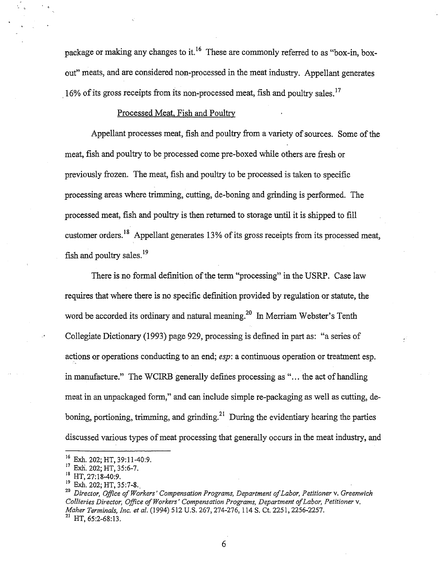package or making any changes to it. 16 These are commonly referred to as "box-in, boxout" meats, and are considered non-processed in the meat industry. Appellant generates 16% of its gross receipts from its non-processed meat, fish and poultry [sales.](https://sales.17)<sup>17</sup>

## Processed Meat, Fish and Poultry

Appellant processes meat, fish and poultry from a variety of sources. Some of the meat, fish and poultry to be processed come pre-boxed while others are fresh or previously frozen. The meat, fish and poultry to be processed is taken to specific processing areas where trimming, cutting, de-boning and grinding is performed. The processed meat, fish and poultry is then returned to storage until it is shipped to fill customer orders.<sup>18</sup> Appellant generates 13% of its gross receipts from its processed meat, fish and poultry sales.<sup>19</sup>

There is no formal definition of the term "processing" in the USRP. Case law requires that where there is no specific definition provided by regulation or statute, the word be accorded its ordinary and natural [meaning.](https://meaning.20)<sup>20</sup> In Merriam Webster's Tenth Collegiate Dictionary (1993) page 929, processing is defined in part as: "a series of actions or operations conducting to an end; *esp:* a continuous operation or treatment esp. in manufacture." The WCIRB generally defines processing as "... the act of handling meat in an unpackaged form," and can include simple re-packaging as well as cutting, deboning, portioning, trimming, and [grinding.](https://grinding.21)<sup>21</sup> During the evidentiary hearing the parties discussed various types of meat processing that generally occurs in the meat industry, and

<sup>&</sup>lt;sup>16</sup> Exh. 202; HT, 39:11-40:9.

 $^{17}$  Exh. 202; HT, 35:6-7.<br><sup>18</sup> HT, 27:18-40:9.

<sup>18</sup> HT, 27:18-40:9. 19 Exh. 202; HT, 35:7-8., 20 *Director, Office ofWorkers' Compensation Programs, Department ofLabor, Petitioner* v. *Greenwich Collieries Director, Office ofWorkers' Compensation Programs, Department ofLabor, Petitioner* v. *Maher Terminals, Inc. et al.* (1994) 512 U.S. 267, 274-276, 114 S. Ct. 2251, 2256-2257.

<sup>21</sup> HT, 65:2-68:13.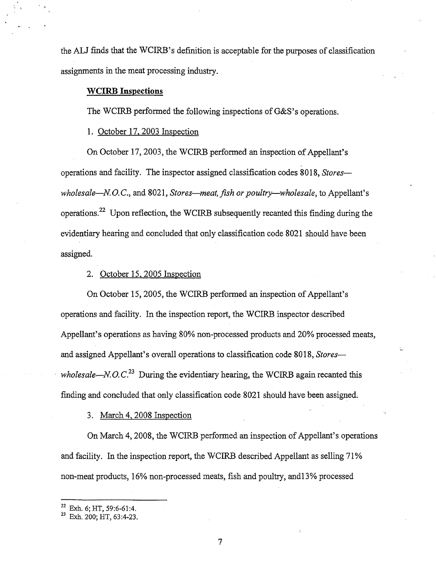the ALJ finds that the WCIRB's definition is acceptable for the purposes of classification assignments in the meat processing industry.

## **WCIRB Inspections**

The WCIRB performed the following inspections of G&S's operations.

1. October 17. 2003 Inspection

On October 17, 2003, the WCIRB performed an inspection of Appellant's operations and facility. The inspector assigned classification codes 8018, *Storeswholesale—N.O.C., and 8021, Stores—meat, fish or poultry—wholesale, to Appellant's* [operations.](https://operations.22)22 Upon reflection, the WCIRB subsequently recanted this finding during the evidentiary hearing and concluded that only classification code 8021 should have been assigned.

# 2. October 15. 2005 Inspection

On October 15, 2005, the WCIRB performed an inspection of Appellant's operations and facility. In the inspection report, the WCIRB inspector described Appellant's operations as having 80% non-processed products and 20% processed meats, and assigned Appellant's overall operations to classification code 8018, *Storeswholesale—N.O.C.*<sup>23</sup> During the evidentiary hearing, the WCIRB again recanted this finding and concluded that only classification code 8021 should have been assigned.

3. March 4, 2008 Inspection

On March 4, 2008, the WCIRB performed an inspection of Appellant's operations and facility. In the inspection report, the WCIRB described Appellant as selling 71% non-meat products, 16% non-processed meats, fish and poultry, and13% processed

 $^{22}$  Exh. 6; HT, 59:6-61:4.<br> $^{23}$  Exh. 200; HT, 63:4-23.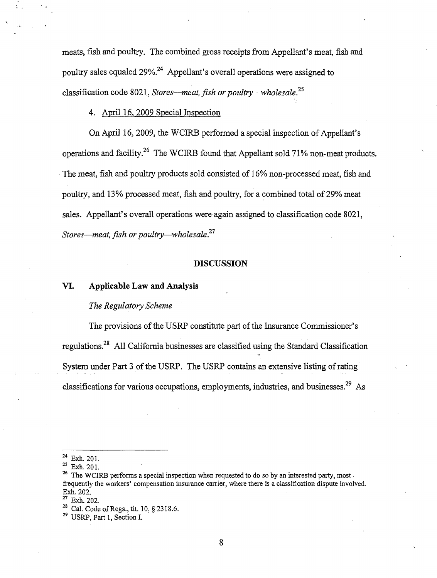meats, fish and poultry. The combined gross receipts from Appellant's meat, fish and poultry sales equaled  $29\%$ <sup>24</sup> Appellant's overall operations were assigned to classification code 8021, *Stores-meat, fish or [poultry-wholesale.](https://poultry-wholesale.25)<sup>25</sup>*

4. April 16, 2009 Special Inspection

On April 16, 2009, the WCIRB performed a special inspection of Appellant's operations and [facility.](https://facility.26)<sup>26</sup> The WCIRB found that Appellant sold 71% non-meat products. · The meat, fish and poultry products sold consisted of 16% non-processed meat, fish and poultry, and 13% processed meat, fish and poultry, for a combined total of29% meat sales. Appellant's overall operations were again assigned to classification code 8021, *Stores-meat, fish or [poultry-wholesale.2](https://poultry-wholesale.27)*<sup>7</sup>

## **DISCUSSION**

#### **VI. Applicable Law and Analysis**

#### *The Regulatory Scheme*

The provisions of the USRP constitute part of the Insurance Commissioner's [regulations.2](https://regulations.28)8 All California businesses are classified using the Standard Classification System under Part 3 of the USRP. The USRP contains an extensive listing of rating classifications for various occupations, employments, industries, and [businesses.](https://businesses.29)<sup>29</sup> As

 $^{24}$  Exh. 201.<br> $^{25}$  Exh. 201.

<sup>&</sup>lt;sup>26</sup> The WCIRB performs a special inspection when requested to do so by an interested party, most frequently the workers' compensation insurance carrier, where there is a classification dispute involved. Exh. 202.<br><sup>27</sup> Exh. 202.<br><sup>28</sup> Cal. Code of Regs., tit. 10, § 2318.6.<br><sup>29</sup> USRP, Part 1, Section I.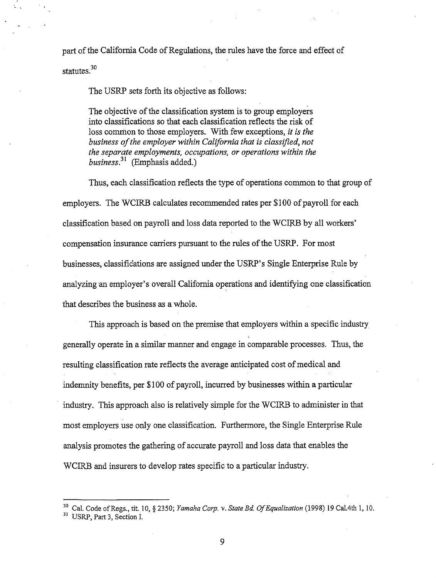part of the California Code of Regulations, the rules have the force and effect of

statutes.<sup>30</sup>

The USRP sets forth its objective as follows:

The objective of the classification system is to group employers into classifications so that each classification reflects the risk of loss common to those employers. With few exceptions, *it is the business ofthe employer within California that is classified, not the separate employments, occupations, or operations within the [business.](https://business.31)*<sup>31</sup>(Emphasis added.)

Thus, each classification reflects the type of operations common to that group of employers. The WCIRB calculates recommended rates per \$100 of payroll for each classification based on payroll and loss data reported to the WCIRB by all workers' compensation insurance carriers pursuant to the rules of the USRP. For most businesses, classifications are assigned under the USRP' s Single Enterprise Rule by analyzing an employer's overall California operations and identifying one classification that describes the business as a whole.

This approach is based on the premise that employers within a specific industry generally operate in a similar manner and engage in comparable processes. Thus, the resulting classification rate reflects the average anticipated cost of medical and indemnity benefits, per \$100 of payroll, incurred by businesses within a particular industry. This approach also is relatively simple for the WCIRB to administer in that most employers use only one classification. Furthermore, the Single Enterprise Rule analysis promotes the gathering of accurate payroll and loss data that enables the WCIRB and insurers to develop rates specific to a particular industry.

<sup>&</sup>lt;sup>30</sup> Cal. Code of Regs., tit. 10, § 2350; *Yamaha Corp. v. State Bd. Of Equalization* (1998) 19 Cal.4th 1, 10.<br><sup>31</sup> USRP, Part 3, Section I.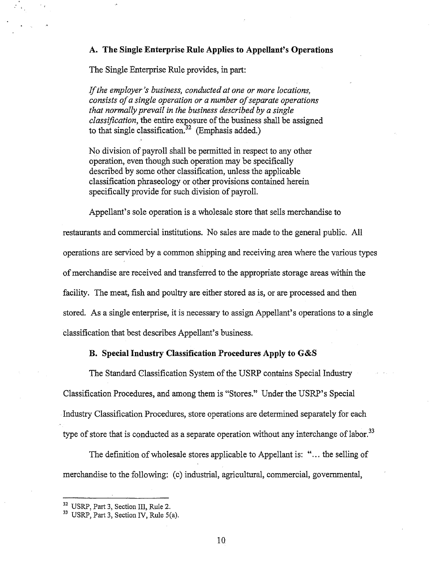# **A. The Single Enterprise Rule Applies to Appellant's Operations**

The Single Enterprise Rule provides, in part:

If*the employer's business, conducted at one or more locations, consists of a single operation or a number of separate operations that normally prevail in the business described by a single classification*, the entire exposure of the business shall be assigned to that single classification.<sup>32</sup> (Emphasis added.)

No division of payroll shall be permitted in respect to any other operation, even though such operation may be specifically described by some other classification, unless the applicable classification phraseology or other provisions contained herein specifically provide for such division of payroll.

Appellant's sole operation is a wholesale store that sells merchandise to restaurants and commercial institutions. No sales are made to the general public. All operations are serviced by a common shipping and receiving area where the various types ofmerchandise are received and transferred to the appropriate storage areas within the facility. The meat, fish and poultry are either stored as is, or are processed and then stored. As a single enterprise, it is necessary to assign Appellant's operations to a single classification that best describes Appellant's business.

# **B. Special Industry Classification Procedures Apply to G&S**

The Standard Classification System of the USRP contains Special Industry Classification Procedures, and among them is "Stores." Under the USRP's Special Industry Classification Procedures, store operations are determined separately for each type of store that is conducted as a separate operation without any interchange of [labor.](https://labor.33)<sup>33</sup>

The definition of wholesale stores applicable to Appellant is: "... the selling of merchandise to the following: (c) industrial, agricultural, commercial, governmental,

<sup>&</sup>lt;sup>32</sup> USRP, Part 3, Section III, Rule 2.  $33$  USRP, Part 3, Section IV, Rule 5(a).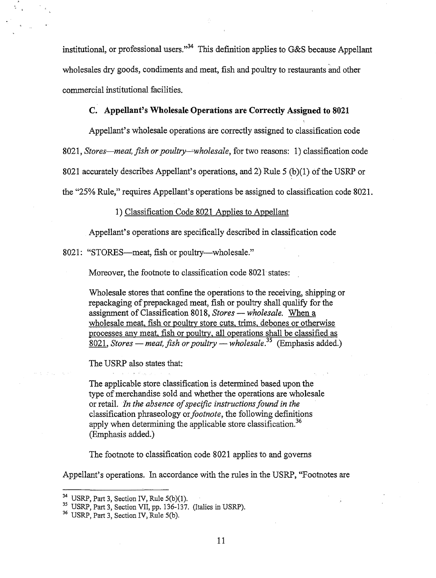institutional, or professional users."<sup>34</sup> This definition applies to G&S because Appellant wholesales dry goods, condiments and meat, fish and poultry to restaurants and other commercial institutional facilities.

# **C. Appellant's Wholesale Operations are Correctly Assigned to 8021**

Appellant's wholesale operations are correctly assigned to classification code

8021, *Stores-meat, fish or poultry-"-wholesale,* for two reasons: 1) classification code 8021 accurately describes Appellant's operations, and 2) Rule 5 (b)(1) of the USRP or

the "25% Rule," requires Appellant's operations be assigned to classification code 8021.

#### 1) Classification Code 8021 Applies to Appellant

Appellant's operations are specifically described in classification code

8021: "STORES—meat, fish or poultry—wholesale."

Moreover, the footnote to classification code 8021 states:

Wholesale stores that confine the operations to the receiving, shipping or repackaging of prepackaged meat, fish or poultry shall qualify for the assignment of Classification 8018, *Stores-wholesale.* When a wholesale meat, fish or poultry store cuts, trims, debones or otherwise processes any meat, fish or poultry, all operations shall be classified as  $8021$ , *Stores — meat, fish or poultry — wholesale*.<sup>35</sup> (Emphasis added.)

The USRP also states that:

The applicable store classification is determined based upon the type of merchandise sold and whether the operations are wholesale or retail. *In the absence of specific instructions found in the* classification phraseology or *footnote,* the following definitions apply when determining the applicable store [classification.](https://classification.36)<sup>36</sup> (Emphasis added.)

The footnote to classification code 8021 applies to and governs

Appellant's operations. In accordance with the rules in the USRP, "Footnotes are

<sup>&</sup>lt;sup>34</sup> USRP, Part 3, Section IV, Rule  $5(b)(1)$ .<br><sup>35</sup> USRP, Part 3, Section VII, pp. 136-137. (Italics in USRP).

<sup>36</sup> USRP, Part 3, Section IV, Rule S(b).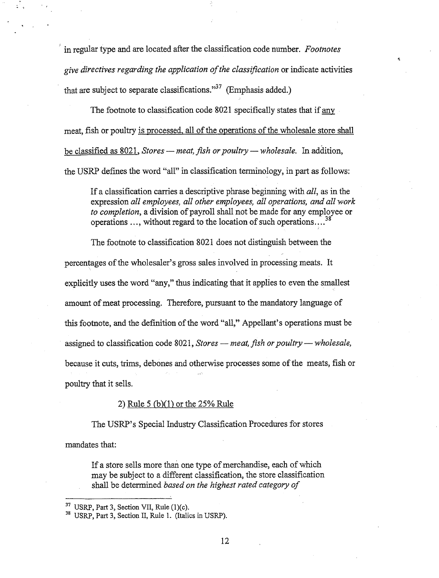' in regular type and are located after the classification code number. *Footnotes give directives regarding the application ofthe classification* or indicate activities that are subject to separate classifications."<sup>37</sup> (Emphasis added.)

The footnote to classification code 8021 specifically states that if any meat, fish or poultry is processed, all of the operations of the wholesale store shall be classified as 8021, *Stores — meat, fish or poultry — wholesale*. In addition, the USRP defines the word "all" in classification terminology, in part as follows:

If a classification carries a descriptive phrase beginning with *all,* as in the expression *all employees, all other employees, all operations, and all work to completion*, a division of payroll shall not be made for any employee or operations ..., without regard to the location of such operations....<sup>38</sup>

The footnote to classification 8021 does not distinguish between the percentages of the wholesaler's gross sales involved in processing meats. It explicitly uses the word "any," thus indicating that it applies to even the smallest amount of meat processing. Therefore, pursuant to the mandatory language of this footnote, and the definition of the word "all," Appellant's operations must be assigned to classification code 8021, *Stores — meat, fish or poultry — wholesale*, because it cuts, trims, de bones and otherwise processes some ofthe meats, fish or poultry that it sells.

# 2) Rule 5 {b)(l) or the 25% Rule

The USRP's Special Industry Classification Procedures for stores

mandates that:

If a store sells more than one type of merchandise, each of which may be subject to a different classification, the store classification shall be determined *based on the highest rated category of* 

12

<sup>&</sup>lt;sup>37</sup> USRP, Part 3, Section VII, Rule  $(1)(c)$ .<br><sup>38</sup> USRP, Part 3, Section II, Rule 1. (Italics in USRP).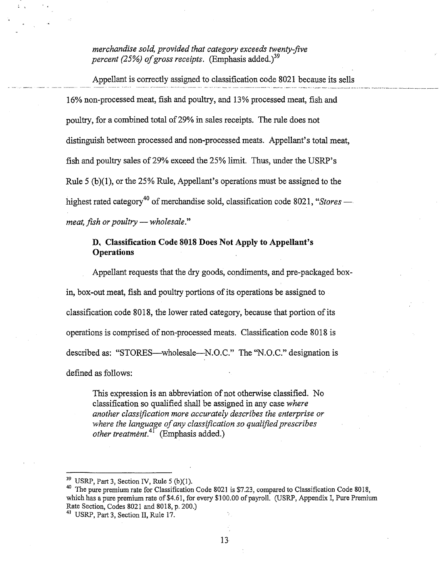*merchandise sold, provided that category exceeds twenty-five percent (25%) of gross receipts.* (Emphasis added.)<sup>39</sup>

Appellant is correctly assigned to classification code 8021 because its sells 16% non-processed meat, fish and poultry, and 13% processed meat, fish and poultry, for a combined total of29% in sales receipts. The rule does not distinguish between processed and non-processed meats. Appellant's total meat, fish and poultry sales of 29% exceed the 25% limit. Thus, under the USRP's Rule 5 (b)(l), or the 25% Rule, Appellant's operations must be assigned to the highest rated category<sup>40</sup> of merchandise sold, classification code 8021, "Stores *meat, fish or poultry — wholesale.*"

# **D. Classification Code 8018 Does Not Apply to Appellant's Operations**

Appellant requests that the dry goods, condiments, and pre-packaged boxin, box-out meat, fish and poultry portions of its operations be assigned to classification code 8018, the lower rated category, because that portion of its operations is comprised of non-processed meats. Classification code 8018 is described as: "STORES—wholesale—N.O.C." The "N.O.C." designation is defined as follows:

This expression is an abbreviation of not otherwise classified. No classification so qualified shall be assigned in any case *where another classification more accurately describes the enterprise or where the language ofany classification so qualified prescribes other [treatment.](https://treatment.41)*<sup>41</sup> (Emphasis added.)

<sup>39</sup> USRP, Part 3, Section IV, Rule 5 (b)(1).<br><sup>40</sup> The pure premium rate for Classification Code 8021 is \$7.23, compared to Classification Code 8018, which has a pure premium rate of\$4.61, for every \$100.00 of payroll. (USRP, Appendix I, Pure Premium Rate Section, Codes 8021 and 8018, p. 200.)

<sup>41</sup> USRP, Part 3, Section II, Rule 17.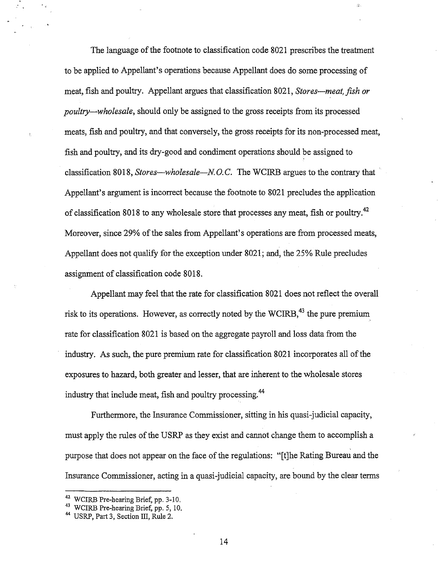The language of the footnote to classification code 8021 prescribes the treatment to be applied to Appellant's operations because Appellant does do some processing of meat, fish and poultry. Appellant argues that classification 8021, *Stores-meat, fish or poultry-wholesale,* should only be assigned to the gross receipts from its processed meats, fish and poultry, and that conversely, the gross receipts for its non-processed meat, fish and poultry, and its dry-good and condiment operations should be assigned to classification 8018, *Stores-wholesale-N* 0. C. The WCIRB argues to the contrary that Appellant's argument is incorrect because the footnote to 8021 precludes the application of classification 8018 to any wholesale store that processes any meat, fish or [poultry.](https://poultry.42)<sup>42</sup> Moreover, since 29% of the sales from Appellant's operations are from processed meats, Appellant does not qualify for the exception under 8021; and, the 25% Rule precludes assignment of classification code 8018.

漆.

Appellant may feel that the rate for classification 8021 does not reflect the overall risk to its operations. However, as correctly noted by the WCIRB,<sup>43</sup> the pure premium rate for classification 8021 is based on the aggregate payroll and loss data from the industry. As such, the pure premium rate for classification 8021 incorporates all of the exposures to hazard, both greater and lesser, that are inherent to the wholesale stores industry that include meat, fish and poultry [processing.](https://processing.44)<sup>44</sup>

Furthermore, the Insurance Commissioner, sitting in his quasi-judicial capacity, must apply the rules of the USRP as they exist and cannot change them to accomplish a purpose that does not appear on the face of the regulations: "[t]he Rating Bureau and the Insurance Commissioner, acting in a quasi-judicial capacity, are bound by the clear terms

<sup>&</sup>lt;sup>42</sup> WCIRB Pre-hearing Brief, pp. 3-10.<br><sup>43</sup> WCIRB Pre-hearing Brief, pp. 5, 10.<br><sup>44</sup> USRP, Part 3, Section III, Rule 2.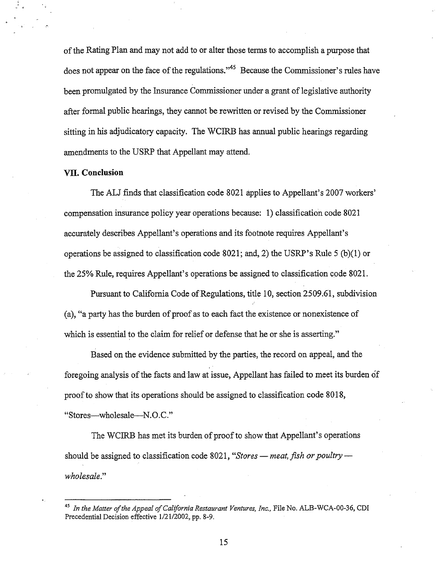of the Rating Plan and may not add to or alter those terms to accomplish a purpose that does not appear on the face of the regulations."<sup>45</sup> Because the Commissioner's rules have been promulgated by the Insurance Commissioner under a grant of legislative authority after formal public hearings, they cannot be rewritten or revised by the Commissioner sitting in his adjudicatory capacity. The WCIRB has annual public hearings regarding amendments to the USRP that Appellant may attend.

#### **VII. Conclusion**

The ALJ finds that classification code 8021 applies to Appellant's 2007 workers' compensation insurance policy year operations because: 1) classification code 8021 accurately describes Appellant's operations and its footnote requires Appellant's operations be assigned to classification code 8021; and, 2) the USRP's Rule 5 (b)(l) or the 25% Rule, requires Appellant's operations be assigned to classification code 8021.

Pursuant to California Code of Regulations, title 10, section 2509.61, subdivision (a), "a party has the burden of proof as to each fact the existence or nonexistence of which is essential to the claim for relief or defense that he or she is asserting."

Based on the evidence submitted by the parties, the record on appeal, and the foregoing analysis of the facts and law at issue, Appellant has failed to meet its burden of proofto show that its operations should be assigned to classification code 8018, "Stores-wholesale-N.O.C."

The WCIRB has met its burden of proof to show that Appellant's operations should be assigned to classification code 8021, "Stores - meat, fish or poultry *wholesale."* 

15

<sup>&</sup>lt;sup>45</sup> In the Matter of the Appeal of California Restaurant Ventures, Inc., File No. ALB-WCA-00-36, CDI Precedential Decision effective 1/21/2002, pp. 8-9.